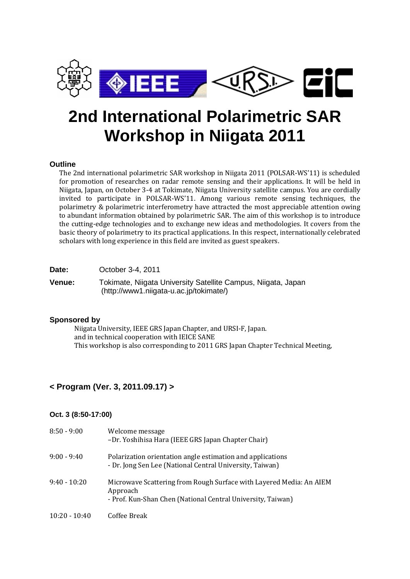

# **2nd International Polarimetric SAR Workshop in Niigata 2011**

## **Outline**

The 2nd international polarimetric SAR workshop in Niigata 2011 (POLSAR-WS'11) is scheduled for promotion of researches on radar remote sensing and their applications. It will be held in Niigata, Japan, on October 3-4 at Tokimate, Niigata University satellite campus. You are cordially invited to participate in POLSAR-WS'11. Among various remote sensing techniques, the polarimetry & polarimetric interferometry have attracted the most appreciable attention owing to abundant information obtained by polarimetric SAR. The aim of this workshop is to introduce the cutting-edge technologies and to exchange new ideas and methodologies. It covers from the basic theory of polarimetry to its practical applications. In this respect, internationally celebrated scholars with long experience in this field are invited as guest speakers.

| Date: | October 3-4, 2011 |  |
|-------|-------------------|--|
|-------|-------------------|--|

**Venue:** Tokimate, Niigata University Satellite Campus, Niigata, Japan [\(http://www1.niigata-u.ac.jp/tokimate/\)](http://www1.niigata-u.ac.jp/tokimate/)

## **Sponsored by**

Niigata University, IEEE GRS Japan Chapter, and URSI-F, Japan. and in technical cooperation with IEICE SANE This workshop is also corresponding to 2011 GRS Japan Chapter Technical Meeting,

## **< Program (Ver. 3, 2011.09.17) >**

## **Oct. 3 (8:50-17:00)**

| $8:50 - 9:00$   | Welcome message<br>-Dr. Yoshihisa Hara (IEEE GRS Japan Chapter Chair)                                                                          |
|-----------------|------------------------------------------------------------------------------------------------------------------------------------------------|
| $9:00 - 9:40$   | Polarization orientation angle estimation and applications<br>- Dr. Jong Sen Lee (National Central University, Taiwan)                         |
| $9:40 - 10:20$  | Microwave Scattering from Rough Surface with Layered Media: An AIEM<br>Approach<br>- Prof. Kun-Shan Chen (National Central University, Taiwan) |
| $10:20 - 10:40$ | Coffee Break                                                                                                                                   |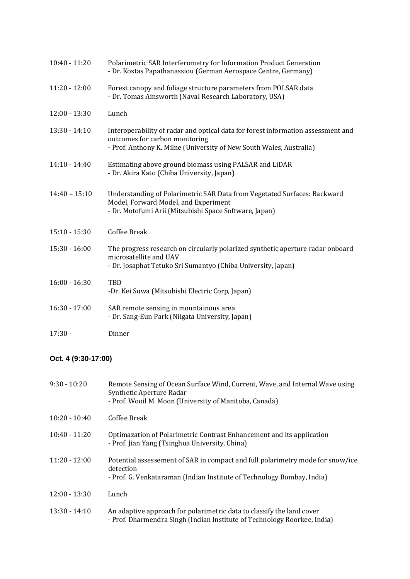| $10:40 - 11:20$ | Polarimetric SAR Interferometry for Information Product Generation<br>- Dr. Kostas Papathanassiou (German Aerospace Centre, Germany)                                                      |
|-----------------|-------------------------------------------------------------------------------------------------------------------------------------------------------------------------------------------|
| $11:20 - 12:00$ | Forest canopy and foliage structure parameters from POLSAR data<br>- Dr. Tomas Ainsworth (Naval Research Laboratory, USA)                                                                 |
| $12:00 - 13:30$ | Lunch                                                                                                                                                                                     |
| $13:30 - 14:10$ | Interoperability of radar and optical data for forest information assessment and<br>outcomes for carbon monitoring<br>- Prof. Anthony K. Milne (University of New South Wales, Australia) |
| $14:10 - 14:40$ | Estimating above ground biomass using PALSAR and LiDAR<br>- Dr. Akira Kato (Chiba University, Japan)                                                                                      |
| $14:40 - 15:10$ | Understanding of Polarimetric SAR Data from Vegetated Surfaces: Backward<br>Model, Forward Model, and Experiment<br>- Dr. Motofumi Arii (Mitsubishi Space Software, Japan)                |
| $15:10 - 15:30$ | <b>Coffee Break</b>                                                                                                                                                                       |
| $15:30 - 16:00$ | The progress research on circularly polarized synthetic aperture radar onboard<br>microsatellite and UAV<br>- Dr. Josaphat Tetuko Sri Sumantyo (Chiba University, Japan)                  |
| $16:00 - 16:30$ | TBD<br>-Dr. Kei Suwa (Mitsubishi Electric Corp, Japan)                                                                                                                                    |
| $16:30 - 17:00$ | SAR remote sensing in mountainous area<br>- Dr. Sang-Eun Park (Niigata University, Japan)                                                                                                 |
| $17:30 -$       | Dinner                                                                                                                                                                                    |

## **Oct. 4 (9:30-17:00)**

| $9:30 - 10:20$  | Remote Sensing of Ocean Surface Wind, Current, Wave, and Internal Wave using<br>Synthetic Aperture Radar<br>- Prof. Wooil M. Moon (University of Manitoba, Canada)    |
|-----------------|-----------------------------------------------------------------------------------------------------------------------------------------------------------------------|
| $10:20 - 10:40$ | Coffee Break                                                                                                                                                          |
| $10:40 - 11:20$ | Optimazation of Polarimetric Contrast Enhancement and its application<br>- Prof. Jian Yang (Tsinghua University, China)                                               |
| $11:20 - 12:00$ | Potential assessement of SAR in compact and full polarimetry mode for snow/ice<br>detection<br>- Prof. G. Venkataraman (Indian Institute of Technology Bombay, India) |
| $12:00 - 13:30$ | Lunch                                                                                                                                                                 |
| $13:30 - 14:10$ | An adaptive approach for polarimetric data to classify the land cover<br>- Prof. Dharmendra Singh (Indian Institute of Technology Roorkee, India)                     |